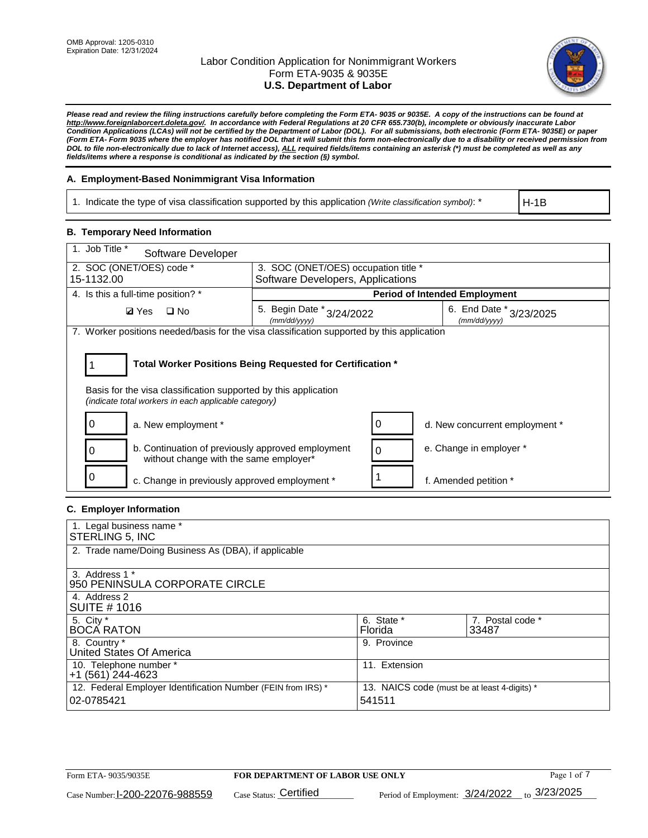

*Please read and review the filing instructions carefully before completing the Form ETA- 9035 or 9035E. A copy of the instructions can be found at [http://www.foreignlaborcert.doleta.gov/.](http://www.foreignlaborcert.doleta.gov/) In accordance with Federal Regulations at 20 CFR 655.730(b), incomplete or obviously inaccurate Labor Condition Applications (LCAs) will not be certified by the Department of Labor (DOL). For all submissions, both electronic (Form ETA- 9035E) or paper (Form ETA- Form 9035 where the employer has notified DOL that it will submit this form non-electronically due to a disability or received permission from DOL to file non-electronically due to lack of Internet access), ALL required fields/items containing an asterisk (\*) must be completed as well as any fields/items where a response is conditional as indicated by the section (§) symbol.* 

## **A. Employment-Based Nonimmigrant Visa Information**

1. Indicate the type of visa classification supported by this application *(Write classification symbol)*: \*

H-1B

## **B. Temporary Need Information**

| 1. Job Title *<br>Software Developer                                                                                                                                                  |                                                                                      |                                      |  |  |  |  |
|---------------------------------------------------------------------------------------------------------------------------------------------------------------------------------------|--------------------------------------------------------------------------------------|--------------------------------------|--|--|--|--|
| 2. SOC (ONET/OES) code *                                                                                                                                                              | 3. SOC (ONET/OES) occupation title *                                                 |                                      |  |  |  |  |
| 15-1132.00                                                                                                                                                                            | Software Developers, Applications                                                    |                                      |  |  |  |  |
| 4. Is this a full-time position? *                                                                                                                                                    |                                                                                      | <b>Period of Intended Employment</b> |  |  |  |  |
| $\Box$ No<br><b>Ø</b> Yes                                                                                                                                                             | 5. Begin Date * 3/24/2022<br>6. End Date * 3/23/2025<br>(mm/dd/yyyy)<br>(mm/dd/yyyy) |                                      |  |  |  |  |
| 7. Worker positions needed/basis for the visa classification supported by this application                                                                                            |                                                                                      |                                      |  |  |  |  |
| Total Worker Positions Being Requested for Certification *<br>Basis for the visa classification supported by this application<br>(indicate total workers in each applicable category) |                                                                                      |                                      |  |  |  |  |
| a. New employment *                                                                                                                                                                   | 0                                                                                    | d. New concurrent employment *       |  |  |  |  |
| b. Continuation of previously approved employment<br>0<br>without change with the same employer*                                                                                      | $\Omega$                                                                             | e. Change in employer *              |  |  |  |  |
| c. Change in previously approved employment *                                                                                                                                         |                                                                                      | f. Amended petition *                |  |  |  |  |

# **C. Employer Information**

| 1. Legal business name *                                     |                                              |                  |
|--------------------------------------------------------------|----------------------------------------------|------------------|
| STERLING 5, INC                                              |                                              |                  |
| 2. Trade name/Doing Business As (DBA), if applicable         |                                              |                  |
|                                                              |                                              |                  |
| 3. Address 1 *                                               |                                              |                  |
| 950 PENINSULA CORPORATE CIRCLE                               |                                              |                  |
| 4. Address 2                                                 |                                              |                  |
| <b>SUITE #1016</b>                                           |                                              |                  |
| 5. City *                                                    | 6. State *                                   | 7. Postal code * |
| <b>BOCA RATON</b>                                            | Florida                                      | 33487            |
| 8. Country *                                                 | 9. Province                                  |                  |
| United States Of America                                     |                                              |                  |
| 10. Telephone number *                                       | 11. Extension                                |                  |
| $+1(561)$ 244-4623                                           |                                              |                  |
| 12. Federal Employer Identification Number (FEIN from IRS) * | 13. NAICS code (must be at least 4-digits) * |                  |
| 02-0785421                                                   | 541511                                       |                  |
|                                                              |                                              |                  |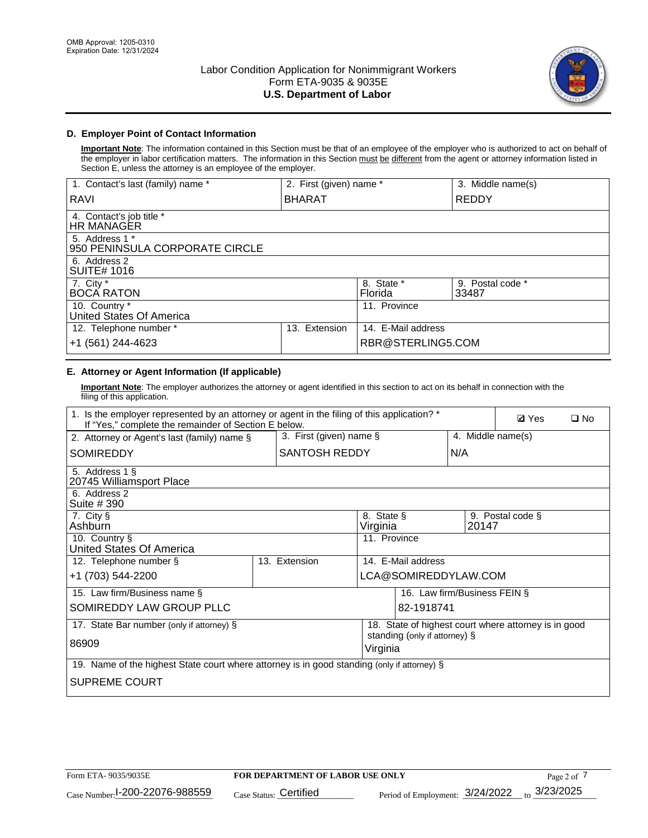

## **D. Employer Point of Contact Information**

**Important Note**: The information contained in this Section must be that of an employee of the employer who is authorized to act on behalf of the employer in labor certification matters. The information in this Section must be different from the agent or attorney information listed in Section E, unless the attorney is an employee of the employer.

| 1. Contact's last (family) name *                | 2. First (given) name * |                       | 3. Middle name(s)         |
|--------------------------------------------------|-------------------------|-----------------------|---------------------------|
| RAVI                                             | <b>BHARAT</b>           |                       | <b>REDDY</b>              |
| 4. Contact's job title *<br>HR MANAGER           |                         |                       |                           |
| 5. Address 1 *<br>950 PENINSULA CORPORATE CIRCLE |                         |                       |                           |
| 6. Address 2<br><b>SUITE# 1016</b>               |                         |                       |                           |
| 7. City $*$<br><b>BOCA RATON</b>                 |                         | 8. State *<br>Florida | 9. Postal code *<br>33487 |
| 10. Country *<br>United States Of America        |                         | 11. Province          |                           |
| 12. Telephone number *                           | Extension<br>13.        | 14. E-Mail address    |                           |
| +1 (561) 244-4623                                |                         | RBR@STERLING5.COM     |                           |

# **E. Attorney or Agent Information (If applicable)**

**Important Note**: The employer authorizes the attorney or agent identified in this section to act on its behalf in connection with the filing of this application.

| 1. Is the employer represented by an attorney or agent in the filing of this application? *<br>If "Yes," complete the remainder of Section E below. |               |                            |                                           |                              |                   |                  | $\square$ No |
|-----------------------------------------------------------------------------------------------------------------------------------------------------|---------------|----------------------------|-------------------------------------------|------------------------------|-------------------|------------------|--------------|
| 2. Attorney or Agent's last (family) name §                                                                                                         |               | 3. First (given) name $\S$ |                                           |                              | 4. Middle name(s) |                  |              |
| <b>SOMIREDDY</b>                                                                                                                                    |               | SANTOSH REDDY              |                                           |                              | N/A               |                  |              |
| 5. Address 1 §<br>20745 Williamsport Place                                                                                                          |               |                            |                                           |                              |                   |                  |              |
| 6. Address 2<br>Suite # 390                                                                                                                         |               |                            |                                           |                              |                   |                  |              |
| 7. City §<br>Ashburn                                                                                                                                |               |                            | 8. State §<br>Virginia                    |                              | 20147             | 9. Postal code § |              |
| 10. Country §<br><b>United States Of America</b>                                                                                                    |               |                            | 11. Province                              |                              |                   |                  |              |
| 12. Telephone number §                                                                                                                              | 13. Extension | 14. F-Mail address         |                                           |                              |                   |                  |              |
| +1 (703) 544-2200                                                                                                                                   |               |                            | LCA@SOMIREDDYLAW.COM                      |                              |                   |                  |              |
| 15. Law firm/Business name §                                                                                                                        |               |                            |                                           | 16. Law firm/Business FEIN § |                   |                  |              |
| SOMIREDDY LAW GROUP PLLC                                                                                                                            |               |                            |                                           | 82-1918741                   |                   |                  |              |
| 18. State of highest court where attorney is in good<br>17. State Bar number (only if attorney) §                                                   |               |                            |                                           |                              |                   |                  |              |
| 86909                                                                                                                                               |               |                            | standing (only if attorney) §<br>Virginia |                              |                   |                  |              |
| 19. Name of the highest State court where attorney is in good standing (only if attorney) §                                                         |               |                            |                                           |                              |                   |                  |              |
| <b>SUPREME COURT</b>                                                                                                                                |               |                            |                                           |                              |                   |                  |              |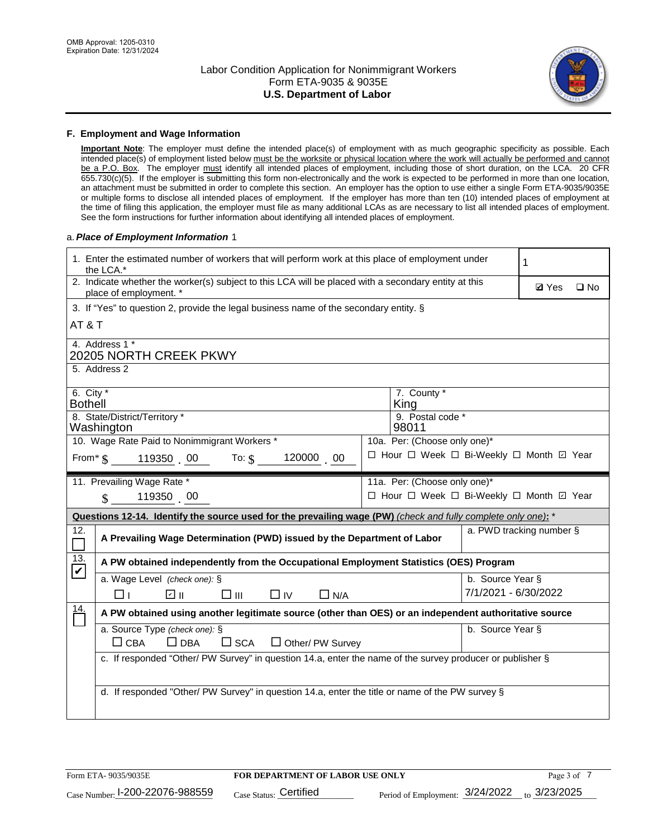

### **F. Employment and Wage Information**

**Important Note**: The employer must define the intended place(s) of employment with as much geographic specificity as possible. Each intended place(s) of employment listed below must be the worksite or physical location where the work will actually be performed and cannot be a P.O. Box. The employer must identify all intended places of employment, including those of short duration, on the LCA. 20 CFR 655.730(c)(5). If the employer is submitting this form non-electronically and the work is expected to be performed in more than one location, an attachment must be submitted in order to complete this section. An employer has the option to use either a single Form ETA-9035/9035E or multiple forms to disclose all intended places of employment. If the employer has more than ten (10) intended places of employment at the time of filing this application, the employer must file as many additional LCAs as are necessary to list all intended places of employment. See the form instructions for further information about identifying all intended places of employment.

### a.*Place of Employment Information* 1

|                                          | 1. Enter the estimated number of workers that will perform work at this place of employment under<br>1<br>the LCA.*            |  |                                          |                      |  |  |  |  |
|------------------------------------------|--------------------------------------------------------------------------------------------------------------------------------|--|------------------------------------------|----------------------|--|--|--|--|
|                                          | 2. Indicate whether the worker(s) subject to this LCA will be placed with a secondary entity at this<br>place of employment. * |  | <b>Ø</b> Yes                             | $\square$ No         |  |  |  |  |
|                                          | 3. If "Yes" to question 2, provide the legal business name of the secondary entity. §                                          |  |                                          |                      |  |  |  |  |
|                                          | AT&T                                                                                                                           |  |                                          |                      |  |  |  |  |
| 4. Address 1 *<br>20205 NORTH CREEK PKWY |                                                                                                                                |  |                                          |                      |  |  |  |  |
|                                          | 5. Address 2                                                                                                                   |  |                                          |                      |  |  |  |  |
| 6. City $*$<br><b>Bothell</b>            |                                                                                                                                |  | 7. County *<br>King                      |                      |  |  |  |  |
|                                          | 8. State/District/Territory *<br>9. Postal code *<br>Washington<br>98011                                                       |  |                                          |                      |  |  |  |  |
|                                          | 10. Wage Rate Paid to Nonimmigrant Workers *                                                                                   |  | 10a. Per: (Choose only one)*             |                      |  |  |  |  |
|                                          | 120000 00<br>From $\text{\$}$ 119350 00 To: $\text{\$}$                                                                        |  | □ Hour □ Week □ Bi-Weekly □ Month ☑ Year |                      |  |  |  |  |
|                                          | 11. Prevailing Wage Rate *                                                                                                     |  | 11a. Per: (Choose only one)*             |                      |  |  |  |  |
|                                          | 119350 00<br>$\mathbb{S}$                                                                                                      |  | □ Hour □ Week □ Bi-Weekly □ Month 回 Year |                      |  |  |  |  |
|                                          | Questions 12-14. Identify the source used for the prevailing wage (PW) (check and fully complete only one): *                  |  |                                          |                      |  |  |  |  |
| 12.                                      | a. PWD tracking number §<br>A Prevailing Wage Determination (PWD) issued by the Department of Labor                            |  |                                          |                      |  |  |  |  |
| 13.<br>$\blacktriangledown$              | A PW obtained independently from the Occupational Employment Statistics (OES) Program                                          |  |                                          |                      |  |  |  |  |
|                                          | a. Wage Level (check one): §                                                                                                   |  |                                          | b. Source Year §     |  |  |  |  |
|                                          | ☑ ⊪<br>$\square$ $\square$<br>$\Box$ IV<br>□⊥<br>$\Box$ N/A                                                                    |  |                                          | 7/1/2021 - 6/30/2022 |  |  |  |  |
| $\frac{14}{1}$                           | A PW obtained using another legitimate source (other than OES) or an independent authoritative source                          |  |                                          |                      |  |  |  |  |
|                                          | a. Source Type (check one): §                                                                                                  |  |                                          | b. Source Year §     |  |  |  |  |
|                                          | $\Box$ CBA<br>$\Box$ DBA<br>$\square$ SCA<br>$\Box$ Other/ PW Survey                                                           |  |                                          |                      |  |  |  |  |
|                                          | c. If responded "Other/ PW Survey" in question 14.a, enter the name of the survey producer or publisher §                      |  |                                          |                      |  |  |  |  |
|                                          |                                                                                                                                |  |                                          |                      |  |  |  |  |
|                                          | d. If responded "Other/ PW Survey" in question 14.a, enter the title or name of the PW survey §                                |  |                                          |                      |  |  |  |  |
|                                          |                                                                                                                                |  |                                          |                      |  |  |  |  |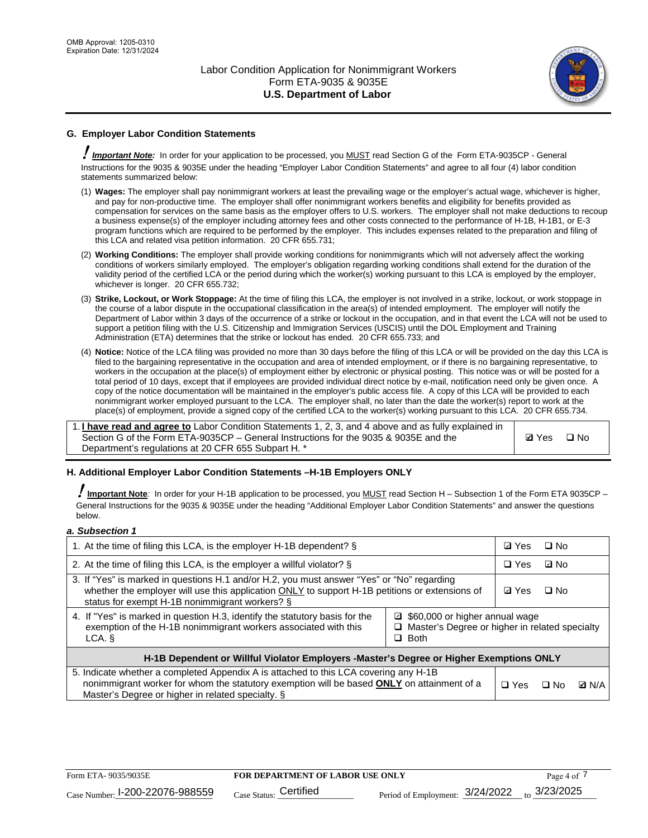

## **G. Employer Labor Condition Statements**

! *Important Note:* In order for your application to be processed, you MUST read Section G of the Form ETA-9035CP - General Instructions for the 9035 & 9035E under the heading "Employer Labor Condition Statements" and agree to all four (4) labor condition statements summarized below:

- (1) **Wages:** The employer shall pay nonimmigrant workers at least the prevailing wage or the employer's actual wage, whichever is higher, and pay for non-productive time. The employer shall offer nonimmigrant workers benefits and eligibility for benefits provided as compensation for services on the same basis as the employer offers to U.S. workers. The employer shall not make deductions to recoup a business expense(s) of the employer including attorney fees and other costs connected to the performance of H-1B, H-1B1, or E-3 program functions which are required to be performed by the employer. This includes expenses related to the preparation and filing of this LCA and related visa petition information. 20 CFR 655.731;
- (2) **Working Conditions:** The employer shall provide working conditions for nonimmigrants which will not adversely affect the working conditions of workers similarly employed. The employer's obligation regarding working conditions shall extend for the duration of the validity period of the certified LCA or the period during which the worker(s) working pursuant to this LCA is employed by the employer, whichever is longer. 20 CFR 655.732;
- (3) **Strike, Lockout, or Work Stoppage:** At the time of filing this LCA, the employer is not involved in a strike, lockout, or work stoppage in the course of a labor dispute in the occupational classification in the area(s) of intended employment. The employer will notify the Department of Labor within 3 days of the occurrence of a strike or lockout in the occupation, and in that event the LCA will not be used to support a petition filing with the U.S. Citizenship and Immigration Services (USCIS) until the DOL Employment and Training Administration (ETA) determines that the strike or lockout has ended. 20 CFR 655.733; and
- (4) **Notice:** Notice of the LCA filing was provided no more than 30 days before the filing of this LCA or will be provided on the day this LCA is filed to the bargaining representative in the occupation and area of intended employment, or if there is no bargaining representative, to workers in the occupation at the place(s) of employment either by electronic or physical posting. This notice was or will be posted for a total period of 10 days, except that if employees are provided individual direct notice by e-mail, notification need only be given once. A copy of the notice documentation will be maintained in the employer's public access file. A copy of this LCA will be provided to each nonimmigrant worker employed pursuant to the LCA. The employer shall, no later than the date the worker(s) report to work at the place(s) of employment, provide a signed copy of the certified LCA to the worker(s) working pursuant to this LCA. 20 CFR 655.734.

1. **I have read and agree to** Labor Condition Statements 1, 2, 3, and 4 above and as fully explained in Section G of the Form ETA-9035CP – General Instructions for the 9035 & 9035E and the Department's regulations at 20 CFR 655 Subpart H. \*

**Ø**Yes ロNo

### **H. Additional Employer Labor Condition Statements –H-1B Employers ONLY**

!**Important Note***:* In order for your H-1B application to be processed, you MUST read Section H – Subsection 1 of the Form ETA 9035CP – General Instructions for the 9035 & 9035E under the heading "Additional Employer Labor Condition Statements" and answer the questions below.

#### *a. Subsection 1*

| 1. At the time of filing this LCA, is the employer H-1B dependent? §                                                                                                                                                                                          |  |  | $\square$ No |              |  |
|---------------------------------------------------------------------------------------------------------------------------------------------------------------------------------------------------------------------------------------------------------------|--|--|--------------|--------------|--|
| 2. At the time of filing this LCA, is the employer a willful violator? $\S$                                                                                                                                                                                   |  |  | ⊡ No         |              |  |
| 3. If "Yes" is marked in questions H.1 and/or H.2, you must answer "Yes" or "No" regarding<br>whether the employer will use this application ONLY to support H-1B petitions or extensions of<br>status for exempt H-1B nonimmigrant workers? §                |  |  | $\Box$ No    |              |  |
| 4. If "Yes" is marked in question H.3, identify the statutory basis for the<br>■ \$60,000 or higher annual wage<br>exemption of the H-1B nonimmigrant workers associated with this<br>□ Master's Degree or higher in related specialty<br>$\Box$ Both<br>LCA. |  |  |              |              |  |
| H-1B Dependent or Willful Violator Employers -Master's Degree or Higher Exemptions ONLY                                                                                                                                                                       |  |  |              |              |  |
| 5. Indicate whether a completed Appendix A is attached to this LCA covering any H-1B<br>nonimmigrant worker for whom the statutory exemption will be based <b>ONLY</b> on attainment of a<br>Master's Degree or higher in related specialty. §                |  |  | ⊡ No         | <b>D</b> N/A |  |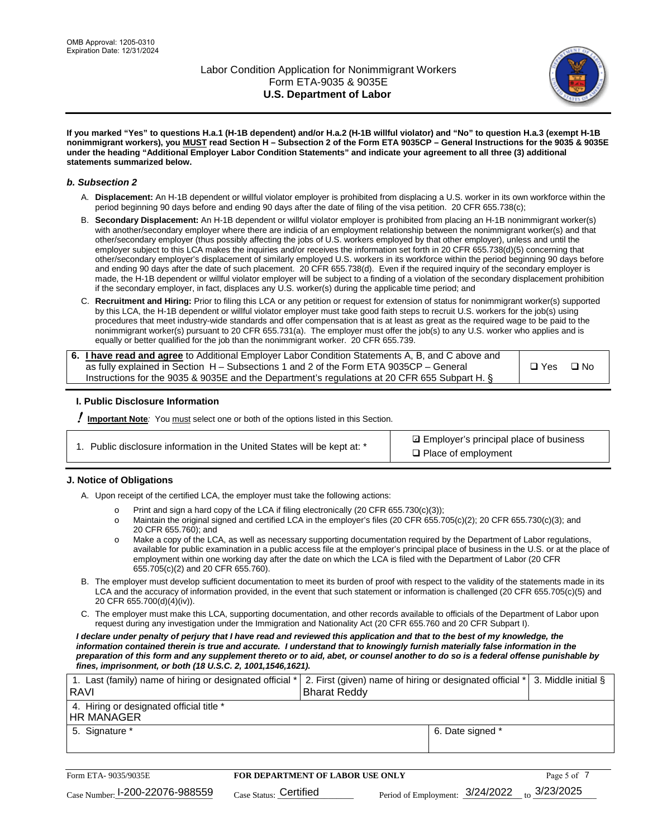

**If you marked "Yes" to questions H.a.1 (H-1B dependent) and/or H.a.2 (H-1B willful violator) and "No" to question H.a.3 (exempt H-1B nonimmigrant workers), you MUST read Section H – Subsection 2 of the Form ETA 9035CP – General Instructions for the 9035 & 9035E under the heading "Additional Employer Labor Condition Statements" and indicate your agreement to all three (3) additional statements summarized below.**

### *b. Subsection 2*

- A. **Displacement:** An H-1B dependent or willful violator employer is prohibited from displacing a U.S. worker in its own workforce within the period beginning 90 days before and ending 90 days after the date of filing of the visa petition. 20 CFR 655.738(c);
- B. **Secondary Displacement:** An H-1B dependent or willful violator employer is prohibited from placing an H-1B nonimmigrant worker(s) with another/secondary employer where there are indicia of an employment relationship between the nonimmigrant worker(s) and that other/secondary employer (thus possibly affecting the jobs of U.S. workers employed by that other employer), unless and until the employer subject to this LCA makes the inquiries and/or receives the information set forth in 20 CFR 655.738(d)(5) concerning that other/secondary employer's displacement of similarly employed U.S. workers in its workforce within the period beginning 90 days before and ending 90 days after the date of such placement. 20 CFR 655.738(d). Even if the required inquiry of the secondary employer is made, the H-1B dependent or willful violator employer will be subject to a finding of a violation of the secondary displacement prohibition if the secondary employer, in fact, displaces any U.S. worker(s) during the applicable time period; and
- C. **Recruitment and Hiring:** Prior to filing this LCA or any petition or request for extension of status for nonimmigrant worker(s) supported by this LCA, the H-1B dependent or willful violator employer must take good faith steps to recruit U.S. workers for the job(s) using procedures that meet industry-wide standards and offer compensation that is at least as great as the required wage to be paid to the nonimmigrant worker(s) pursuant to 20 CFR 655.731(a). The employer must offer the job(s) to any U.S. worker who applies and is equally or better qualified for the job than the nonimmigrant worker. 20 CFR 655.739.

| 6. I have read and agree to Additional Employer Labor Condition Statements A, B, and C above and |       |           |
|--------------------------------------------------------------------------------------------------|-------|-----------|
| as fully explained in Section H – Subsections 1 and 2 of the Form ETA 9035CP – General           | □ Yes | $\Box$ No |
| Instructions for the 9035 & 9035E and the Department's regulations at 20 CFR 655 Subpart H. §    |       |           |

### **I. Public Disclosure Information**

! **Important Note***:* You must select one or both of the options listed in this Section.

| 1. Public disclosure information in the United States will be kept at: * |  |  |  |  |  |  |  |
|--------------------------------------------------------------------------|--|--|--|--|--|--|--|
|--------------------------------------------------------------------------|--|--|--|--|--|--|--|

**sqrt** Employer's principal place of business □ Place of employment

### **J. Notice of Obligations**

A. Upon receipt of the certified LCA, the employer must take the following actions:

- o Print and sign a hard copy of the LCA if filing electronically (20 CFR 655.730(c)(3));<br>
Maintain the original signed and certified LCA in the employer's files (20 CFR 655.7
- Maintain the original signed and certified LCA in the employer's files (20 CFR 655.705(c)(2); 20 CFR 655.730(c)(3); and 20 CFR 655.760); and
- o Make a copy of the LCA, as well as necessary supporting documentation required by the Department of Labor regulations, available for public examination in a public access file at the employer's principal place of business in the U.S. or at the place of employment within one working day after the date on which the LCA is filed with the Department of Labor (20 CFR 655.705(c)(2) and 20 CFR 655.760).
- B. The employer must develop sufficient documentation to meet its burden of proof with respect to the validity of the statements made in its LCA and the accuracy of information provided, in the event that such statement or information is challenged (20 CFR 655.705(c)(5) and 20 CFR 655.700(d)(4)(iv)).
- C. The employer must make this LCA, supporting documentation, and other records available to officials of the Department of Labor upon request during any investigation under the Immigration and Nationality Act (20 CFR 655.760 and 20 CFR Subpart I).

*I declare under penalty of perjury that I have read and reviewed this application and that to the best of my knowledge, the*  information contained therein is true and accurate. I understand that to knowingly furnish materially false information in the *preparation of this form and any supplement thereto or to aid, abet, or counsel another to do so is a federal offense punishable by fines, imprisonment, or both (18 U.S.C. 2, 1001,1546,1621).*

| 1. Last (family) name of hiring or designated official *<br><b>Bharat Reddy</b> |                                                                                |
|---------------------------------------------------------------------------------|--------------------------------------------------------------------------------|
|                                                                                 |                                                                                |
| 6. Date signed *                                                                |                                                                                |
|                                                                                 | 2. First (given) name of hiring or designated official *   3. Middle initial § |

| Form ETA-9035/9035E             | <b>FOR DEPARTMENT OF LABOR USE ONLY</b> |                                                                   | Page 5 of |
|---------------------------------|-----------------------------------------|-------------------------------------------------------------------|-----------|
| Case Number: 1-200-22076-988559 | Case Status: Certified                  | Period of Employment: $\frac{3/24}{2022}$ to $\frac{3}{23}{2025}$ |           |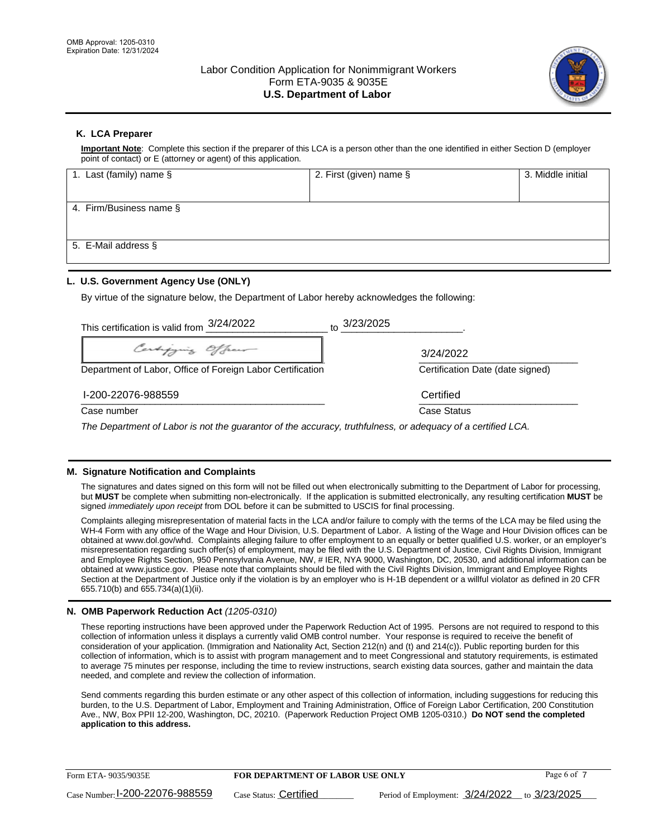

## **K. LCA Preparer**

**Important Note**: Complete this section if the preparer of this LCA is a person other than the one identified in either Section D (employer point of contact) or E (attorney or agent) of this application.

| 1. Last (family) name § | 2. First (given) name § | 3. Middle initial |
|-------------------------|-------------------------|-------------------|
|                         |                         |                   |
| 4. Firm/Business name § |                         |                   |
|                         |                         |                   |
| 5. E-Mail address §     |                         |                   |
|                         |                         |                   |

## **L. U.S. Government Agency Use (ONLY)**

By virtue of the signature below, the Department of Labor hereby acknowledges the following:

| This certification is valid from 3/24/2022                                                                  | $\frac{3}{23/2025}$              |
|-------------------------------------------------------------------------------------------------------------|----------------------------------|
| Certifying Officer                                                                                          | 3/24/2022                        |
| Department of Labor, Office of Foreign Labor Certification                                                  | Certification Date (date signed) |
| I-200-22076-988559                                                                                          | Certified                        |
| Case number                                                                                                 | Case Status                      |
| The Department of Labor is not the guarantor of the accuracy, truthfulness, or adequacy of a certified LCA. |                                  |

### **M. Signature Notification and Complaints**

The signatures and dates signed on this form will not be filled out when electronically submitting to the Department of Labor for processing, but **MUST** be complete when submitting non-electronically. If the application is submitted electronically, any resulting certification **MUST** be signed *immediately upon receipt* from DOL before it can be submitted to USCIS for final processing.

Complaints alleging misrepresentation of material facts in the LCA and/or failure to comply with the terms of the LCA may be filed using the WH-4 Form with any office of the Wage and Hour Division, U.S. Department of Labor. A listing of the Wage and Hour Division offices can be obtained at www.dol.gov/whd. Complaints alleging failure to offer employment to an equally or better qualified U.S. worker, or an employer's misrepresentation regarding such offer(s) of employment, may be filed with the U.S. Department of Justice, Civil Rights Division, Immigrant and Employee Rights Section, 950 Pennsylvania Avenue, NW, # IER, NYA 9000, Washington, DC, 20530, and additional information can be obtained at www.justice.gov. Please note that complaints should be filed with the Civil Rights Division, Immigrant and Employee Rights Section at the Department of Justice only if the violation is by an employer who is H-1B dependent or a willful violator as defined in 20 CFR 655.710(b) and 655.734(a)(1)(ii).

### **N. OMB Paperwork Reduction Act** *(1205-0310)*

These reporting instructions have been approved under the Paperwork Reduction Act of 1995. Persons are not required to respond to this collection of information unless it displays a currently valid OMB control number. Your response is required to receive the benefit of consideration of your application. (Immigration and Nationality Act, Section 212(n) and (t) and 214(c)). Public reporting burden for this collection of information, which is to assist with program management and to meet Congressional and statutory requirements, is estimated to average 75 minutes per response, including the time to review instructions, search existing data sources, gather and maintain the data needed, and complete and review the collection of information.

Send comments regarding this burden estimate or any other aspect of this collection of information, including suggestions for reducing this burden, to the U.S. Department of Labor, Employment and Training Administration, Office of Foreign Labor Certification, 200 Constitution Ave., NW, Box PPII 12-200, Washington, DC, 20210. (Paperwork Reduction Project OMB 1205-0310.) **Do NOT send the completed application to this address.**

| Form ETA-9035/9035E             | <b>FOR DEPARTMENT OF LABOR USE ONLY</b> |                                              |  | Page 6 of 7 |
|---------------------------------|-----------------------------------------|----------------------------------------------|--|-------------|
| Case Number: 1-200-22076-988559 | Case Status: Certified                  | Period of Employment: 3/24/2022 to 3/23/2025 |  |             |